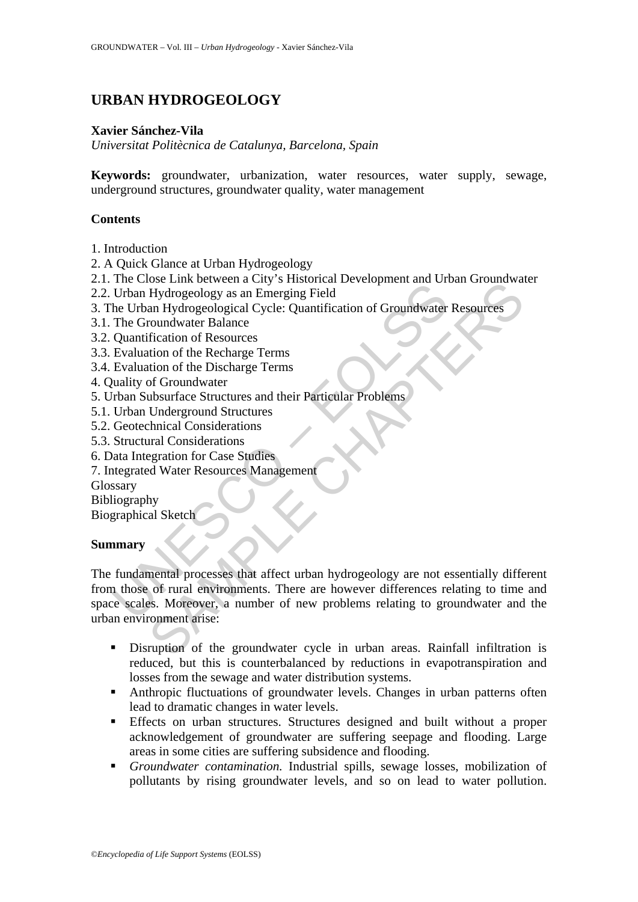# **URBAN HYDROGEOLOGY**

### **Xavier Sánchez-Vila**

*Universitat Politècnica de Catalunya, Barcelona, Spain* 

**Keywords:** groundwater, urbanization, water resources, water supply, sewage, underground structures, groundwater quality, water management

### **Contents**

- 1. Introduction
- 2. A Quick Glance at Urban Hydrogeology
- 2.1. The Close Link between a City's Historical Development and Urban Groundwater
- 2.2. Urban Hydrogeology as an Emerging Field
- 3. The Urban Hydrogeological Cycle: Quantification of Groundwater Resources
- 3.1. The Groundwater Balance
- 3.2. Quantification of Resources
- 3.3. Evaluation of the Recharge Terms
- 3.4. Evaluation of the Discharge Terms
- 4. Quality of Groundwater
- 5. Urban Subsurface Structures and their Particular Problems
- 5.1. Urban Underground Structures
- 5.2. Geotechnical Considerations
- 5.3. Structural Considerations
- 6. Data Integration for Case Studies
- 7. Integrated Water Resources Management

Glossary

Bibliography

Biographical Sketch

### **Summary**

The China Booking Field<br>
Urban Hydrogeology as an Emerging Field<br>
the Urban Hydrogeology as an Emerging Field<br>
the Urban Hydrogeological Cycle: Quantification of Groundwater<br>
The Groundwater Balance<br>
Quantification of the Solice Link Getween a City's strashing Evelopment and Groan Groan Groan Conservation<br>of Hydrogeology as an Emerging Field<br>an Hydrogeology as an Emerging Field<br>an Hydrogeological Cycle: Quantification of Groundwater Resourc The fundamental processes that affect urban hydrogeology are not essentially different from those of rural environments. There are however differences relating to time and space scales. Moreover, a number of new problems relating to groundwater and the urban environment arise:

- Disruption of the groundwater cycle in urban areas. Rainfall infiltration is reduced, but this is counterbalanced by reductions in evapotranspiration and losses from the sewage and water distribution systems.
- Anthropic fluctuations of groundwater levels. Changes in urban patterns often lead to dramatic changes in water levels.
- Effects on urban structures. Structures designed and built without a proper acknowledgement of groundwater are suffering seepage and flooding. Large areas in some cities are suffering subsidence and flooding.
- *Groundwater contamination.* Industrial spills, sewage losses, mobilization of pollutants by rising groundwater levels, and so on lead to water pollution.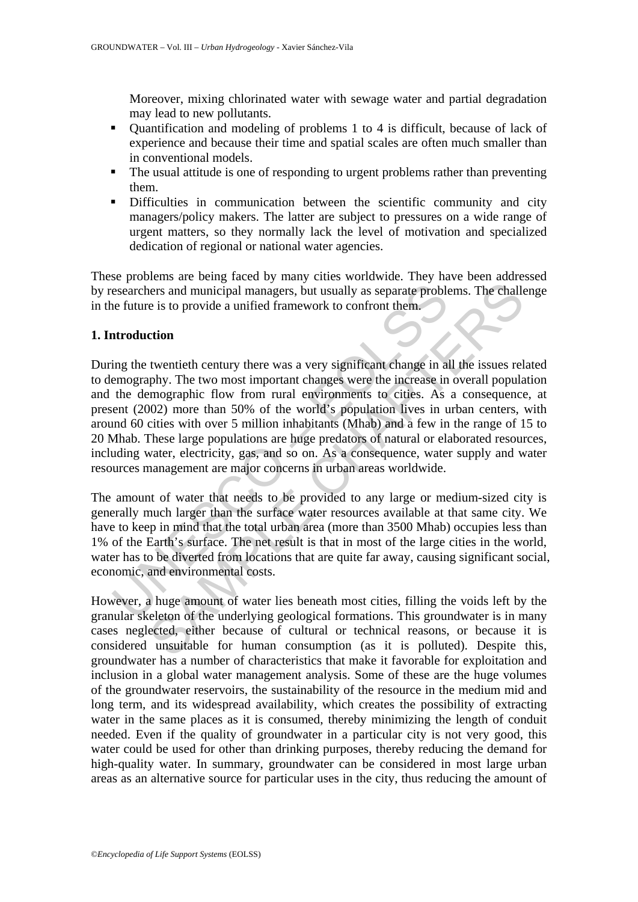Moreover, mixing chlorinated water with sewage water and partial degradation may lead to new pollutants.

- Quantification and modeling of problems 1 to 4 is difficult, because of lack of experience and because their time and spatial scales are often much smaller than in conventional models.
- The usual attitude is one of responding to urgent problems rather than preventing them.
- Difficulties in communication between the scientific community and city managers/policy makers. The latter are subject to pressures on a wide range of urgent matters, so they normally lack the level of motivation and specialized dedication of regional or national water agencies.

These problems are being faced by many cities worldwide. They have been addressed by researchers and municipal managers, but usually as separate problems. The challenge in the future is to provide a unified framework to confront them.

#### **1. Introduction**

esearchers and municipal managers, but usually as separate proble<br>e future is to provide a unified framework to confront them.<br> **Atroduction**<br>
ing the twentieth century there was a very significant change in al<br>
emography. enters and municipal managers, but usually as separate problems. The challer is to provide a unified framework to confront them.<br>
tion<br>
twentieth century there was a very significant change in all the issues relative<br>
phy. During the twentieth century there was a very significant change in all the issues related to demography. The two most important changes were the increase in overall population and the demographic flow from rural environments to cities. As a consequence, at present (2002) more than 50% of the world's population lives in urban centers, with around 60 cities with over 5 million inhabitants (Mhab) and a few in the range of 15 to 20 Mhab. These large populations are huge predators of natural or elaborated resources, including water, electricity, gas, and so on. As a consequence, water supply and water resources management are major concerns in urban areas worldwide.

The amount of water that needs to be provided to any large or medium-sized city is generally much larger than the surface water resources available at that same city. We have to keep in mind that the total urban area (more than 3500 Mhab) occupies less than 1% of the Earth's surface. The net result is that in most of the large cities in the world, water has to be diverted from locations that are quite far away, causing significant social, economic, and environmental costs.

However, a huge amount of water lies beneath most cities, filling the voids left by the granular skeleton of the underlying geological formations. This groundwater is in many cases neglected, either because of cultural or technical reasons, or because it is considered unsuitable for human consumption (as it is polluted). Despite this, groundwater has a number of characteristics that make it favorable for exploitation and inclusion in a global water management analysis. Some of these are the huge volumes of the groundwater reservoirs, the sustainability of the resource in the medium mid and long term, and its widespread availability, which creates the possibility of extracting water in the same places as it is consumed, thereby minimizing the length of conduit needed. Even if the quality of groundwater in a particular city is not very good, this water could be used for other than drinking purposes, thereby reducing the demand for high-quality water. In summary, groundwater can be considered in most large urban areas as an alternative source for particular uses in the city, thus reducing the amount of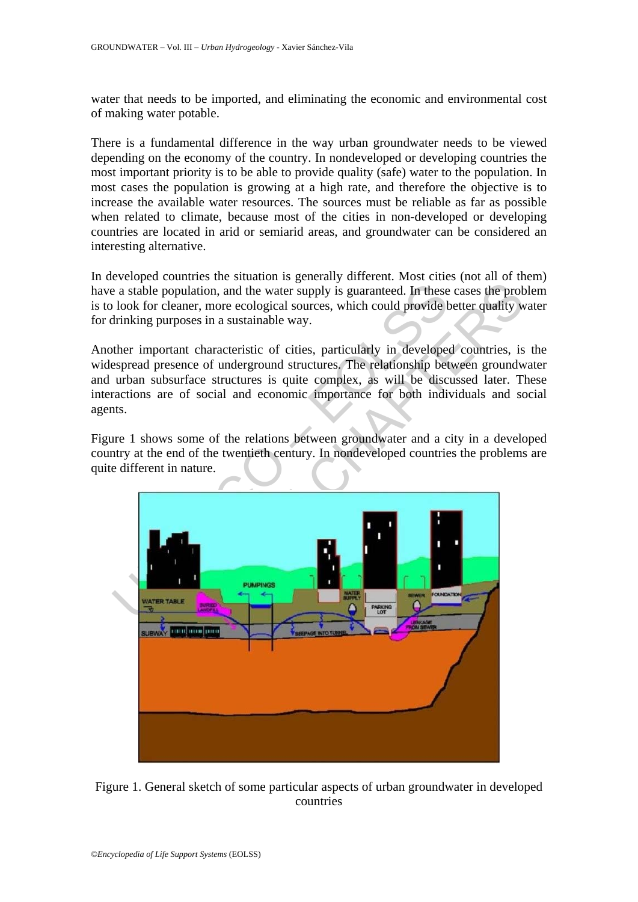water that needs to be imported, and eliminating the economic and environmental cost of making water potable.

There is a fundamental difference in the way urban groundwater needs to be viewed depending on the economy of the country. In nondeveloped or developing countries the most important priority is to be able to provide quality (safe) water to the population. In most cases the population is growing at a high rate, and therefore the objective is to increase the available water resources. The sources must be reliable as far as possible when related to climate, because most of the cities in non-developed or developing countries are located in arid or semiarid areas, and groundwater can be considered an interesting alternative.

In developed countries the situation is generally different. Most cities (not all of them) have a stable population, and the water supply is guaranteed. In these cases the problem is to look for cleaner, more ecological sources, which could provide better quality water for drinking purposes in a sustainable way.

Another important characteristic of cities, particularly in developed countries, is the widespread presence of underground structures. The relationship between groundwater and urban subsurface structures is quite complex, as will be discussed later. These interactions are of social and economic importance for both individuals and social agents.

Figure 1 shows some of the relations between groundwater and a city in a developed country at the end of the twentieth century. In nondeveloped countries the problems are quite different in nature.



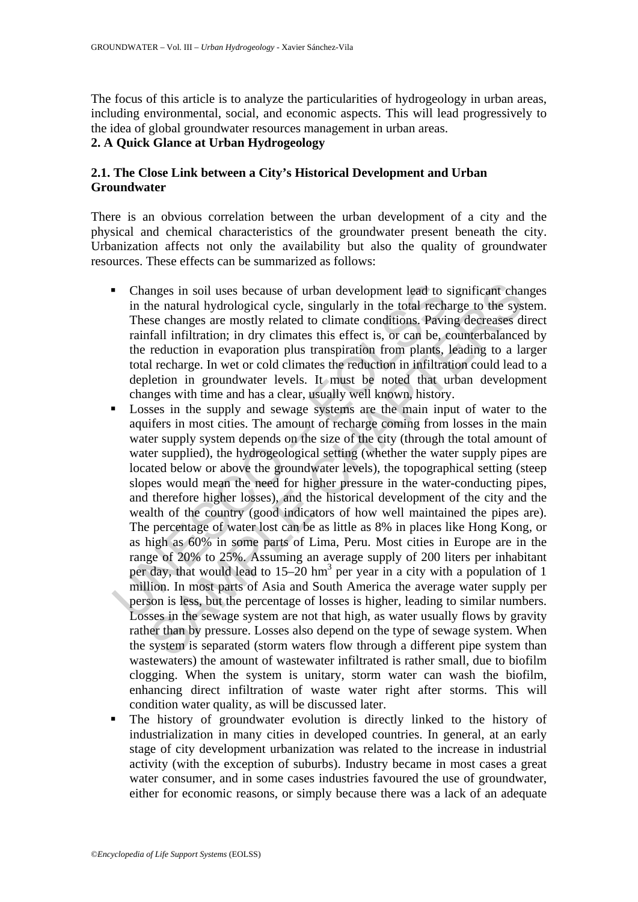The focus of this article is to analyze the particularities of hydrogeology in urban areas, including environmental, social, and economic aspects. This will lead progressively to the idea of global groundwater resources management in urban areas.

### **2. A Quick Glance at Urban Hydrogeology**

### **2.1. The Close Link between a City's Historical Development and Urban Groundwater**

There is an obvious correlation between the urban development of a city and the physical and chemical characteristics of the groundwater present beneath the city. Urbanization affects not only the availability but also the quality of groundwater resources. These effects can be summarized as follows:

- Changes in soil uses because of urban development lead to significant changes in the natural hydrological cycle, singularly in the total recharge to the system. These changes are mostly related to climate conditions. Paving decreases direct rainfall infiltration; in dry climates this effect is, or can be, counterbalanced by the reduction in evaporation plus transpiration from plants, leading to a larger total recharge. In wet or cold climates the reduction in infiltration could lead to a depletion in groundwater levels. It must be noted that urban development changes with time and has a clear, usually well known, history.
- Changes in soil uses because of urban development lead to s<br>in the natural hydrological cycle, singularly in the total recha<br>These changes are mostly related to climate conditions. Pavint<br>rainfall infiltration; in dry c anges in soil uses because of urban development lead to significant chan the natural hydrological cycle, singularly in the total recharge to the sysse changes are mostly related to climate conditions. Paving decreass disfi Losses in the supply and sewage systems are the main input of water to the aquifers in most cities. The amount of recharge coming from losses in the main water supply system depends on the size of the city (through the total amount of water supplied), the hydrogeological setting (whether the water supply pipes are located below or above the groundwater levels), the topographical setting (steep slopes would mean the need for higher pressure in the water-conducting pipes, and therefore higher losses), and the historical development of the city and the wealth of the country (good indicators of how well maintained the pipes are). The percentage of water lost can be as little as 8% in places like Hong Kong, or as high as 60% in some parts of Lima, Peru. Most cities in Europe are in the range of 20% to 25%. Assuming an average supply of 200 liters per inhabitant per day, that would lead to  $15-20$  hm<sup>3</sup> per year in a city with a population of 1 million. In most parts of Asia and South America the average water supply per person is less, but the percentage of losses is higher, leading to similar numbers. Losses in the sewage system are not that high, as water usually flows by gravity rather than by pressure. Losses also depend on the type of sewage system. When the system is separated (storm waters flow through a different pipe system than wastewaters) the amount of wastewater infiltrated is rather small, due to biofilm clogging. When the system is unitary, storm water can wash the biofilm, enhancing direct infiltration of waste water right after storms. This will condition water quality, as will be discussed later.
- The history of groundwater evolution is directly linked to the history of industrialization in many cities in developed countries. In general, at an early stage of city development urbanization was related to the increase in industrial activity (with the exception of suburbs). Industry became in most cases a great water consumer, and in some cases industries favoured the use of groundwater, either for economic reasons, or simply because there was a lack of an adequate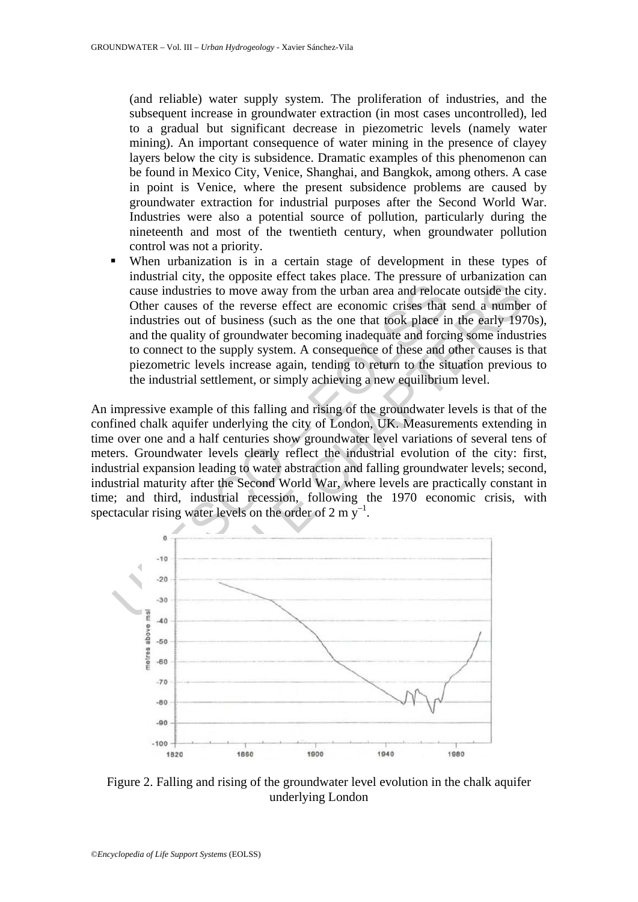(and reliable) water supply system. The proliferation of industries, and the subsequent increase in groundwater extraction (in most cases uncontrolled), led to a gradual but significant decrease in piezometric levels (namely water mining). An important consequence of water mining in the presence of clayey layers below the city is subsidence. Dramatic examples of this phenomenon can be found in Mexico City, Venice, Shanghai, and Bangkok, among others. A case in point is Venice, where the present subsidence problems are caused by groundwater extraction for industrial purposes after the Second World War. Industries were also a potential source of pollution, particularly during the nineteenth and most of the twentieth century, when groundwater pollution control was not a priority.

 When urbanization is in a certain stage of development in these types of industrial city, the opposite effect takes place. The pressure of urbanization can cause industries to move away from the urban area and relocate outside the city. Other causes of the reverse effect are economic crises that send a number of industries out of business (such as the one that took place in the early 1970s), and the quality of groundwater becoming inadequate and forcing some industries to connect to the supply system. A consequence of these and other causes is that piezometric levels increase again, tending to return to the situation previous to the industrial settlement, or simply achieving a new equilibrium level.

cause industries to move away from the urban area and relocation<br>Other causes of the reverse effect are economic crises that<br>industries out of business (such as the one that took place in<br>and the quality of groundwater be An impressive example of this falling and rising of the groundwater levels is that of the confined chalk aquifer underlying the city of London, UK. Measurements extending in time over one and a half centuries show groundwater level variations of several tens of meters. Groundwater levels clearly reflect the industrial evolution of the city: first, industrial expansion leading to water abstraction and falling groundwater levels; second, industrial maturity after the Second World War, where levels are practically constant in time; and third, industrial recession, following the 1970 economic crisis, with spectacular rising water levels on the order of 2 m  $v^{-1}$ .



Figure 2. Falling and rising of the groundwater level evolution in the chalk aquifer underlying London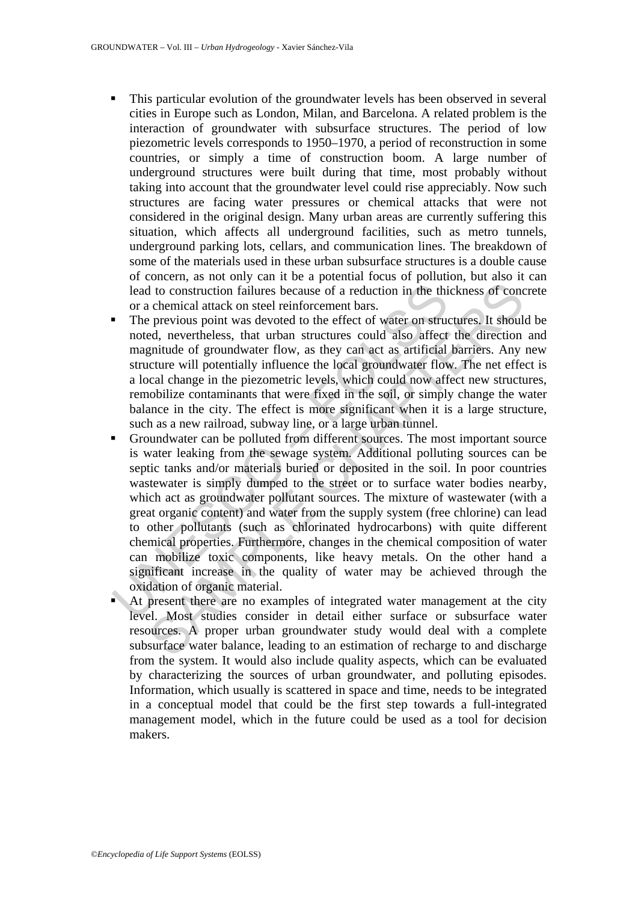- This particular evolution of the groundwater levels has been observed in several cities in Europe such as London, Milan, and Barcelona. A related problem is the interaction of groundwater with subsurface structures. The period of low piezometric levels corresponds to 1950–1970, a period of reconstruction in some countries, or simply a time of construction boom. A large number of underground structures were built during that time, most probably without taking into account that the groundwater level could rise appreciably. Now such structures are facing water pressures or chemical attacks that were not considered in the original design. Many urban areas are currently suffering this situation, which affects all underground facilities, such as metro tunnels, underground parking lots, cellars, and communication lines. The breakdown of some of the materials used in these urban subsurface structures is a double cause of concern, as not only can it be a potential focus of pollution, but also it can lead to construction failures because of a reduction in the thickness of concrete or a chemical attack on steel reinforcement bars.
- The previous point was devoted to the effect of water on structures. It should be noted, nevertheless, that urban structures could also affect the direction and magnitude of groundwater flow, as they can act as artificial barriers. Any new structure will potentially influence the local groundwater flow. The net effect is a local change in the piezometric levels, which could now affect new structures, remobilize contaminants that were fixed in the soil, or simply change the water balance in the city. The effect is more significant when it is a large structure, such as a new railroad, subway line, or a large urban tunnel.
- lead to construction failures because of a reduction in the thi<br>or a chemical attack on steel reinforcement bars.<br>The previous point was devoted to the effect of water on struct<br>noted, nevertheless, that urban structures c I do construction failures because of a reduction in the thickness of concelencial attack on steel reinforcement bars.<br>
previous point was devoted to the effect of water on structures. It should, nevertheless, that urban s Groundwater can be polluted from different sources. The most important source is water leaking from the sewage system. Additional polluting sources can be septic tanks and/or materials buried or deposited in the soil. In poor countries wastewater is simply dumped to the street or to surface water bodies nearby, which act as groundwater pollutant sources. The mixture of wastewater (with a great organic content) and water from the supply system (free chlorine) can lead to other pollutants (such as chlorinated hydrocarbons) with quite different chemical properties. Furthermore, changes in the chemical composition of water can mobilize toxic components, like heavy metals. On the other hand a significant increase in the quality of water may be achieved through the oxidation of organic material.
- At present there are no examples of integrated water management at the city level. Most studies consider in detail either surface or subsurface water resources. A proper urban groundwater study would deal with a complete subsurface water balance, leading to an estimation of recharge to and discharge from the system. It would also include quality aspects, which can be evaluated by characterizing the sources of urban groundwater, and polluting episodes. Information, which usually is scattered in space and time, needs to be integrated in a conceptual model that could be the first step towards a full-integrated management model, which in the future could be used as a tool for decision makers.